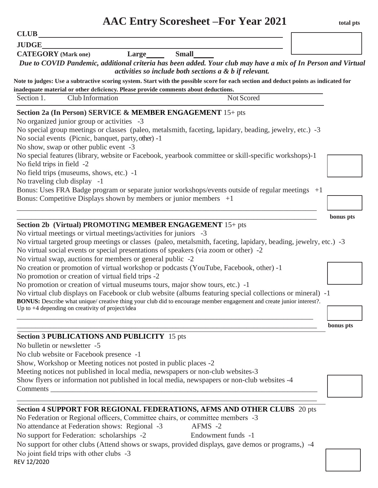|                                                            |                                                                                                                                                                                                                                                                | <b>AAC Entry Scoresheet –For Year 2021</b>                                                                                                                                                                                                                                                                          | total pts |
|------------------------------------------------------------|----------------------------------------------------------------------------------------------------------------------------------------------------------------------------------------------------------------------------------------------------------------|---------------------------------------------------------------------------------------------------------------------------------------------------------------------------------------------------------------------------------------------------------------------------------------------------------------------|-----------|
| <b>CLUB</b>                                                |                                                                                                                                                                                                                                                                |                                                                                                                                                                                                                                                                                                                     |           |
| <b>JUDGE</b>                                               |                                                                                                                                                                                                                                                                |                                                                                                                                                                                                                                                                                                                     |           |
| <b>CATEGORY</b> (Mark one)                                 | $Large \qquad \qquad$                                                                                                                                                                                                                                          | <b>Small</b><br>Due to COVID Pandemic, additional criteria has been added. Your club may have a mix of In Person and Virtual<br>activities so include both sections $a \& b$ if relevant.                                                                                                                           |           |
|                                                            |                                                                                                                                                                                                                                                                | Note to judges: Use a subtractive scoring system. Start with the possible score for each section and deduct points as indicated for                                                                                                                                                                                 |           |
| Section 1.                                                 | inadequate material or other deficiency. Please provide comments about deductions.<br>Club Information                                                                                                                                                         | Not Scored                                                                                                                                                                                                                                                                                                          |           |
| No field trips in field -2<br>No traveling club display -1 | No organized junior group or activities -3<br>No social events (Picnic, banquet, party, other) -1<br>No show, swap or other public event -3<br>No field trips (museums, shows, etc.) -1<br>Bonus: Competitive Displays shown by members or junior members $+1$ | No special group meetings or classes (paleo, metalsmith, faceting, lapidary, beading, jewelry, etc.) -3<br>No special features (library, website or Facebook, yearbook committee or skill-specific workshops)-1<br>Bonus: Uses FRA Badge program or separate junior workshops/events outside of regular meetings +1 | bonus pts |
|                                                            | Section 2b (Virtual) PROMOTING MEMBER ENGAGEMENT 15+ pts                                                                                                                                                                                                       |                                                                                                                                                                                                                                                                                                                     |           |
|                                                            | No virtual meetings or virtual meetings/activities for juniors -3                                                                                                                                                                                              |                                                                                                                                                                                                                                                                                                                     |           |
|                                                            | No virtual social events or special presentations of speakers (via zoom or other) -2                                                                                                                                                                           | No virtual targeted group meetings or classes (paleo, metalsmith, faceting, lapidary, beading, jewelry, etc.) -3                                                                                                                                                                                                    |           |

No virtual swap, auctions for members or general public -2

No creation or promotion of virtual workshop or podcasts (YouTube, Facebook, other) -1

No promotion or creation of virtual field trips -2

No promotion or creation of virtual museums tours, major show tours, etc.) -1

No virtual club displays on Facebook or club website (albums featuring special collections or mineral) -1 **BONUS:** Describe what unique/ creative thing your club did to encourage member engagement and create junior interest?.

Up to +4 depending on creativity of project/idea \_\_\_\_\_\_\_\_\_\_\_\_\_\_\_\_\_\_\_\_\_\_\_\_\_\_\_\_\_\_\_\_\_\_\_\_\_\_\_\_\_\_\_\_\_\_\_\_\_\_\_\_\_\_\_\_\_\_\_\_\_\_\_\_\_\_\_\_\_\_\_\_\_\_\_\_\_\_\_\_

# **Section 3 PUBLICATIONS AND PUBLICITY** 15 pts

No bulletin or newsletter -5

No club website or Facebook presence -1

Show, Workshop or Meeting notices not posted in public places -2

Meeting notices not published in local media, newspapers or non-club websites-3

Show flyers or information not published in local media, newspapers or non-club websites -4 Comments

# \_\_\_\_\_\_\_\_\_\_\_\_\_\_\_\_\_\_\_\_\_\_\_\_\_\_\_\_\_\_\_\_\_\_\_\_\_\_\_\_\_\_\_\_\_\_\_\_\_\_\_\_\_\_\_\_\_\_\_\_\_\_\_\_\_\_\_\_\_\_\_\_\_\_\_\_\_\_\_\_\_ **Section 4 SUPPORT FOR REGIONAL FEDERATIONS, AFMS AND OTHER CLUBS** 20 pts

No Federation or Regional officers, Committee chairs, or committee members -3

No attendance at Federation shows: Regional -3 AFMS -2

No support for Federation: scholarships -2 Endowment funds -1

No support for other clubs (Attend shows or swaps, provided displays, gave demos or programs,) -4 No joint field trips with other clubs -3

REV 12/2020

\_\_\_\_\_\_\_\_\_\_\_\_\_\_\_\_\_\_\_\_\_\_\_\_\_\_\_\_\_\_\_\_\_\_\_\_\_\_\_\_\_\_\_\_\_\_\_\_\_\_\_\_\_\_\_\_\_\_\_\_\_\_\_\_\_\_\_\_\_\_\_\_\_\_\_\_\_\_\_\_\_ **bonus pts**